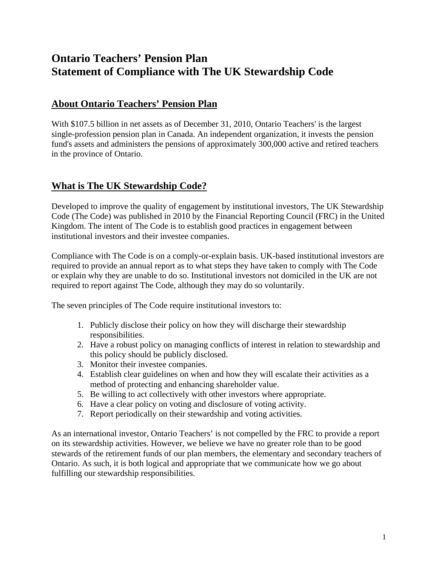# **Ontario Teachers' Pension Plan Statement of Compliance with The UK Stewardship Code**

## **About Ontario Teachers' Pension Plan**

With \$107.5 billion in net assets as of December 31, 2010, Ontario Teachers' is the largest single-profession pension plan in Canada. An independent organization, it invests the pension fund's assets and administers the pensions of approximately 300,000 active and retired teachers in the province of Ontario.

# **What is The UK Stewardship Code?**

Developed to improve the quality of engagement by institutional investors, The UK Stewardship Code (The Code) was published in 2010 by the Financial Reporting Council (FRC) in the United Kingdom. The intent of The Code is to establish good practices in engagement between institutional investors and their investee companies.

Compliance with The Code is on a comply-or-explain basis. UK-based institutional investors are required to provide an annual report as to what steps they have taken to comply with The Code or explain why they are unable to do so. Institutional investors not domiciled in the UK are not required to report against The Code, although they may do so voluntarily.

The seven principles of The Code require institutional investors to:

- 1. Publicly disclose their policy on how they will discharge their stewardship responsibilities.
- 2. Have a robust policy on managing conflicts of interest in relation to stewardship and this policy should be publicly disclosed.
- 3. Monitor their investee companies.
- 4. Establish clear guidelines on when and how they will escalate their activities as a method of protecting and enhancing shareholder value.
- 5. Be willing to act collectively with other investors where appropriate.
- 6. Have a clear policy on voting and disclosure of voting activity.
- 7. Report periodically on their stewardship and voting activities.

As an international investor, Ontario Teachers' is not compelled by the FRC to provide a report on its stewardship activities. However, we believe we have no greater role than to be good stewards of the retirement funds of our plan members, the elementary and secondary teachers of Ontario. As such, it is both logical and appropriate that we communicate how we go about fulfilling our stewardship responsibilities.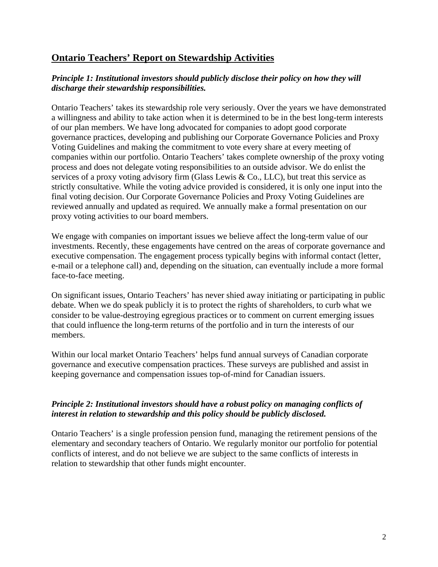### **Ontario Teachers' Report on Stewardship Activities**

#### *Principle 1: Institutional investors should publicly disclose their policy on how they will discharge their stewardship responsibilities.*

Ontario Teachers' takes its stewardship role very seriously. Over the years we have demonstrated a willingness and ability to take action when it is determined to be in the best long-term interests of our plan members. We have long advocated for companies to adopt good corporate governance practices, developing and publishing our Corporate Governance Policies and Proxy Voting Guidelines and making the commitment to vote every share at every meeting of companies within our portfolio. Ontario Teachers' takes complete ownership of the proxy voting process and does not delegate voting responsibilities to an outside advisor. We do enlist the services of a proxy voting advisory firm (Glass Lewis & Co., LLC), but treat this service as strictly consultative. While the voting advice provided is considered, it is only one input into the final voting decision. Our Corporate Governance Policies and Proxy Voting Guidelines are reviewed annually and updated as required. We annually make a formal presentation on our proxy voting activities to our board members.

We engage with companies on important issues we believe affect the long-term value of our investments. Recently, these engagements have centred on the areas of corporate governance and executive compensation. The engagement process typically begins with informal contact (letter, e-mail or a telephone call) and, depending on the situation, can eventually include a more formal face-to-face meeting.

On significant issues, Ontario Teachers' has never shied away initiating or participating in public debate. When we do speak publicly it is to protect the rights of shareholders, to curb what we consider to be value-destroying egregious practices or to comment on current emerging issues that could influence the long-term returns of the portfolio and in turn the interests of our members.

Within our local market Ontario Teachers' helps fund annual surveys of Canadian corporate governance and executive compensation practices. These surveys are published and assist in keeping governance and compensation issues top-of-mind for Canadian issuers.

#### *Principle 2: Institutional investors should have a robust policy on managing conflicts of interest in relation to stewardship and this policy should be publicly disclosed.*

Ontario Teachers' is a single profession pension fund, managing the retirement pensions of the elementary and secondary teachers of Ontario. We regularly monitor our portfolio for potential conflicts of interest, and do not believe we are subject to the same conflicts of interests in relation to stewardship that other funds might encounter.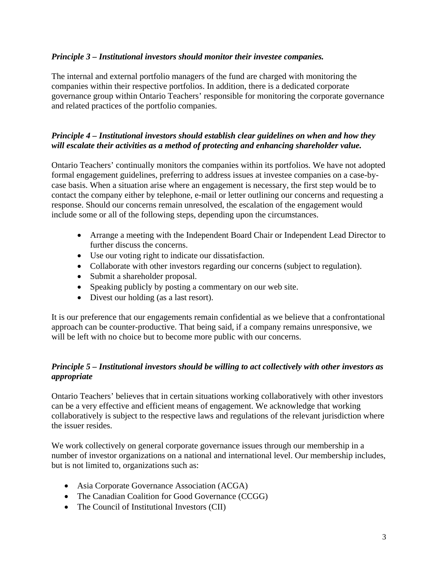#### *Principle 3 – Institutional investors should monitor their investee companies.*

The internal and external portfolio managers of the fund are charged with monitoring the companies within their respective portfolios. In addition, there is a dedicated corporate governance group within Ontario Teachers' responsible for monitoring the corporate governance and related practices of the portfolio companies.

#### *Principle 4 – Institutional investors should establish clear guidelines on when and how they will escalate their activities as a method of protecting and enhancing shareholder value.*

Ontario Teachers' continually monitors the companies within its portfolios. We have not adopted formal engagement guidelines, preferring to address issues at investee companies on a case-bycase basis. When a situation arise where an engagement is necessary, the first step would be to contact the company either by telephone, e-mail or letter outlining our concerns and requesting a response. Should our concerns remain unresolved, the escalation of the engagement would include some or all of the following steps, depending upon the circumstances.

- Arrange a meeting with the Independent Board Chair or Independent Lead Director to further discuss the concerns.
- Use our voting right to indicate our dissatisfaction.
- Collaborate with other investors regarding our concerns (subject to regulation).
- Submit a shareholder proposal.
- Speaking publicly by posting a commentary on our web site.
- Divest our holding (as a last resort).

It is our preference that our engagements remain confidential as we believe that a confrontational approach can be counter-productive. That being said, if a company remains unresponsive, we will be left with no choice but to become more public with our concerns.

#### *Principle 5 – Institutional investors should be willing to act collectively with other investors as appropriate*

Ontario Teachers' believes that in certain situations working collaboratively with other investors can be a very effective and efficient means of engagement. We acknowledge that working collaboratively is subject to the respective laws and regulations of the relevant jurisdiction where the issuer resides.

We work collectively on general corporate governance issues through our membership in a number of investor organizations on a national and international level. Our membership includes, but is not limited to, organizations such as:

- Asia Corporate Governance Association (ACGA)
- The Canadian Coalition for Good Governance (CCGG)
- The Council of Institutional Investors (CII)